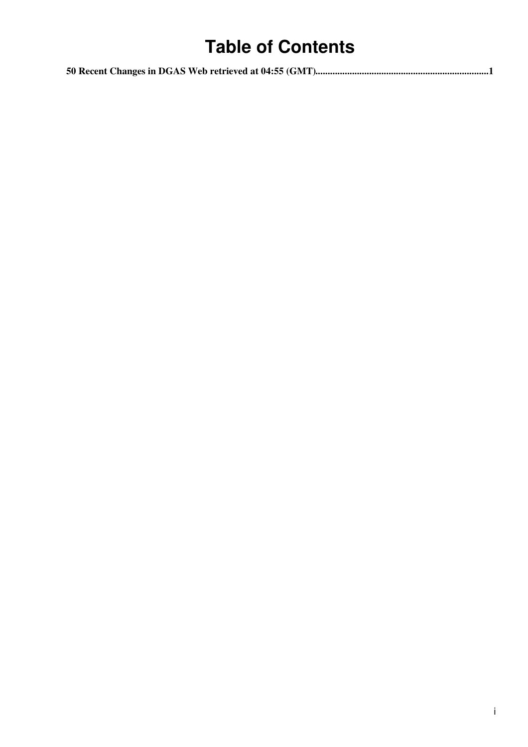# **Table of Contents**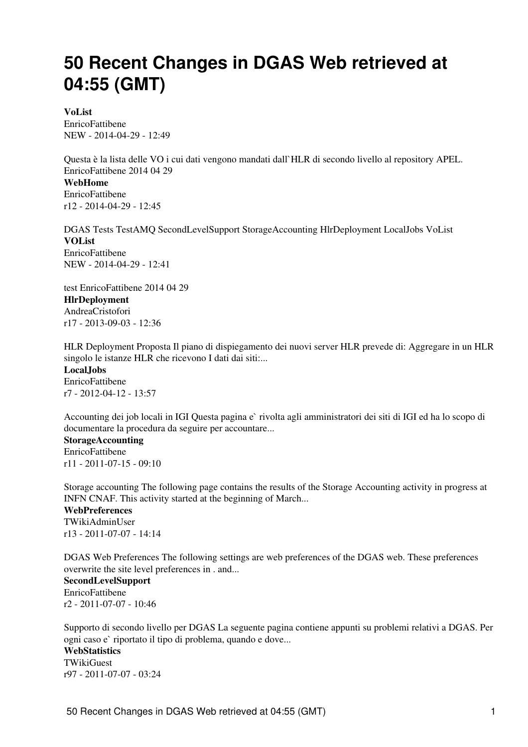## <span id="page-1-0"></span>**50 Recent Changes in DGAS Web retrieved at 04:55 (GMT)**

#### **[VoList](https://wiki-igi.cnaf.infn.it/twiki/bin/view/DGAS/VoList)**

[EnricoFattibene](https://wiki-igi.cnaf.infn.it/twiki/bin/view/Main/EnricoFattibene) NEW - [2014-04-29 - 12:49](https://wiki-igi.cnaf.infn.it/twiki/bin/rdiff/DGAS/VoList) 

Questa è la lista delle VO i cui dati vengono mandati dall`HLR di secondo livello al repository APEL. EnricoFattibene 2014 04 29 **[WebHome](https://wiki-igi.cnaf.infn.it/twiki/bin/view/DGAS/WebHome)**

[EnricoFattibene](https://wiki-igi.cnaf.infn.it/twiki/bin/view/Main/EnricoFattibene) r12 - [2014-04-29 - 12:45](https://wiki-igi.cnaf.infn.it/twiki/bin/rdiff/DGAS/WebHome)

DGAS Tests TestAMQ SecondLevelSupport StorageAccounting HlrDeployment LocalJobs VoList **[VOList](https://wiki-igi.cnaf.infn.it/twiki/bin/view/DGAS/VOList)**

[EnricoFattibene](https://wiki-igi.cnaf.infn.it/twiki/bin/view/Main/EnricoFattibene) NEW - [2014-04-29 - 12:41](https://wiki-igi.cnaf.infn.it/twiki/bin/rdiff/DGAS/VOList) 

test EnricoFattibene 2014 04 29 **[HlrDeployment](https://wiki-igi.cnaf.infn.it/twiki/bin/view/DGAS/HlrDeployment)** [AndreaCristofori](https://wiki-igi.cnaf.infn.it/twiki/bin/view/Main/AndreaCristofori) r17 - [2013-09-03 - 12:36](https://wiki-igi.cnaf.infn.it/twiki/bin/rdiff/DGAS/HlrDeployment)

HLR Deployment Proposta Il piano di dispiegamento dei nuovi server HLR prevede di: Aggregare in un HLR singolo le istanze HLR che ricevono I dati dai siti:...

**[LocalJobs](https://wiki-igi.cnaf.infn.it/twiki/bin/view/DGAS/LocalJobs)** [EnricoFattibene](https://wiki-igi.cnaf.infn.it/twiki/bin/view/Main/EnricoFattibene) r7 - [2012-04-12 - 13:57](https://wiki-igi.cnaf.infn.it/twiki/bin/rdiff/DGAS/LocalJobs) 

Accounting dei job locali in IGI Questa pagina e` rivolta agli amministratori dei siti di IGI ed ha lo scopo di documentare la procedura da seguire per accountare...

**[StorageAccounting](https://wiki-igi.cnaf.infn.it/twiki/bin/view/DGAS/StorageAccounting)** [EnricoFattibene](https://wiki-igi.cnaf.infn.it/twiki/bin/view/Main/EnricoFattibene) r11 - [2011-07-15 - 09:10](https://wiki-igi.cnaf.infn.it/twiki/bin/rdiff/DGAS/StorageAccounting)

Storage accounting The following page contains the results of the Storage Accounting activity in progress at INFN CNAF. This activity started at the beginning of March...

**[WebPreferences](https://wiki-igi.cnaf.infn.it/twiki/bin/view/DGAS/WebPreferences)** [TWikiAdminUser](https://wiki-igi.cnaf.infn.it/twiki/bin/view/Main/TWikiAdminUser) r13 - [2011-07-07 - 14:14](https://wiki-igi.cnaf.infn.it/twiki/bin/rdiff/DGAS/WebPreferences)

DGAS Web Preferences The following settings are web preferences of the DGAS web. These preferences overwrite the site level preferences in . and...

**[SecondLevelSupport](https://wiki-igi.cnaf.infn.it/twiki/bin/view/DGAS/SecondLevelSupport)** [EnricoFattibene](https://wiki-igi.cnaf.infn.it/twiki/bin/view/Main/EnricoFattibene) r2 - [2011-07-07 - 10:46](https://wiki-igi.cnaf.infn.it/twiki/bin/rdiff/DGAS/SecondLevelSupport) 

Supporto di secondo livello per DGAS La seguente pagina contiene appunti su problemi relativi a DGAS. Per ogni caso e` riportato il tipo di problema, quando e dove... **[WebStatistics](https://wiki-igi.cnaf.infn.it/twiki/bin/view/DGAS/WebStatistics) [TWikiGuest](https://wiki-igi.cnaf.infn.it/twiki/bin/view/Main/TWikiGuest)** r97 - [2011-07-07 - 03:24](https://wiki-igi.cnaf.infn.it/twiki/bin/rdiff/DGAS/WebStatistics)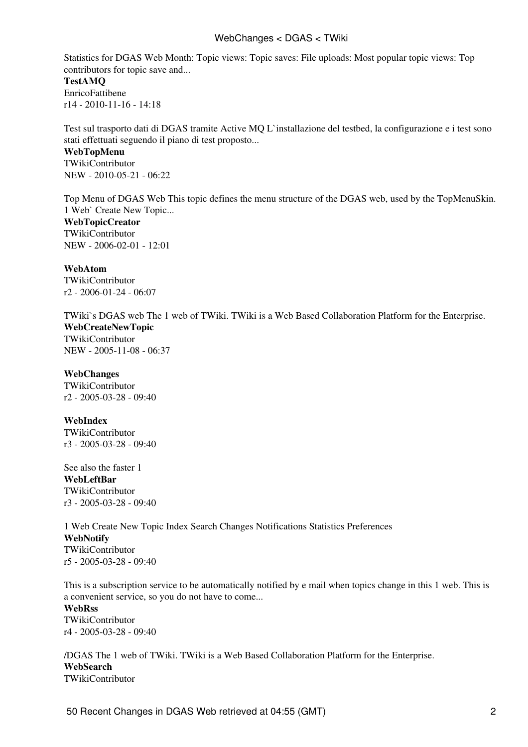#### WebChanges < DGAS < TWiki

Statistics for DGAS Web Month: Topic views: Topic saves: File uploads: Most popular topic views: Top contributors for topic save and...

**[TestAMQ](https://wiki-igi.cnaf.infn.it/twiki/bin/view/DGAS/TestAMQ)** [EnricoFattibene](https://wiki-igi.cnaf.infn.it/twiki/bin/view/Main/EnricoFattibene) r14 - [2010-11-16 - 14:18](https://wiki-igi.cnaf.infn.it/twiki/bin/rdiff/DGAS/TestAMQ)

Test sul trasporto dati di DGAS tramite Active MQ L`installazione del testbed, la configurazione e i test sono stati effettuati seguendo il piano di test proposto... **[WebTopMenu](https://wiki-igi.cnaf.infn.it/twiki/bin/view/DGAS/WebTopMenu)** [TWikiContributor](https://wiki-igi.cnaf.infn.it/twiki/bin/view/Main/TWikiContributor) NEW - [2010-05-21 - 06:22](https://wiki-igi.cnaf.infn.it/twiki/bin/rdiff/DGAS/WebTopMenu) 

Top Menu of DGAS Web This topic defines the menu structure of the DGAS web, used by the TopMenuSkin. 1 Web` Create New Topic... **[WebTopicCreator](https://wiki-igi.cnaf.infn.it/twiki/bin/view/DGAS/WebTopicCreator)** [TWikiContributor](https://wiki-igi.cnaf.infn.it/twiki/bin/view/Main/TWikiContributor) NEW - [2006-02-01 - 12:01](https://wiki-igi.cnaf.infn.it/twiki/bin/rdiff/DGAS/WebTopicCreator) 

**[WebAtom](https://wiki-igi.cnaf.infn.it/twiki/bin/view/DGAS/WebAtom)** [TWikiContributor](https://wiki-igi.cnaf.infn.it/twiki/bin/view/Main/TWikiContributor) r2 - [2006-01-24 - 06:07](https://wiki-igi.cnaf.infn.it/twiki/bin/rdiff/DGAS/WebAtom) 

TWiki`s DGAS web The 1 web of TWiki. TWiki is a Web Based Collaboration Platform for the Enterprise. **[WebCreateNewTopic](https://wiki-igi.cnaf.infn.it/twiki/bin/view/DGAS/WebCreateNewTopic)** [TWikiContributor](https://wiki-igi.cnaf.infn.it/twiki/bin/view/Main/TWikiContributor) NEW - [2005-11-08 - 06:37](https://wiki-igi.cnaf.infn.it/twiki/bin/rdiff/DGAS/WebCreateNewTopic) 

**WebChanges** [TWikiContributor](https://wiki-igi.cnaf.infn.it/twiki/bin/view/Main/TWikiContributor) r2 - [2005-03-28 - 09:40](https://wiki-igi.cnaf.infn.it/twiki/bin/rdiff/DGAS/WebChanges) 

### **[WebIndex](https://wiki-igi.cnaf.infn.it/twiki/bin/view/DGAS/WebIndex)**

[TWikiContributor](https://wiki-igi.cnaf.infn.it/twiki/bin/view/Main/TWikiContributor) r3 - [2005-03-28 - 09:40](https://wiki-igi.cnaf.infn.it/twiki/bin/rdiff/DGAS/WebIndex) 

See also the faster 1 **[WebLeftBar](https://wiki-igi.cnaf.infn.it/twiki/bin/view/DGAS/WebLeftBar)** [TWikiContributor](https://wiki-igi.cnaf.infn.it/twiki/bin/view/Main/TWikiContributor) r3 - [2005-03-28 - 09:40](https://wiki-igi.cnaf.infn.it/twiki/bin/rdiff/DGAS/WebLeftBar) 

1 Web Create New Topic Index Search Changes Notifications Statistics Preferences **[WebNotify](https://wiki-igi.cnaf.infn.it/twiki/bin/view/DGAS/WebNotify)** [TWikiContributor](https://wiki-igi.cnaf.infn.it/twiki/bin/view/Main/TWikiContributor) r5 - [2005-03-28 - 09:40](https://wiki-igi.cnaf.infn.it/twiki/bin/rdiff/DGAS/WebNotify) 

This is a subscription service to be automatically notified by e mail when topics change in this 1 web. This is a convenient service, so you do not have to come... **[WebRss](https://wiki-igi.cnaf.infn.it/twiki/bin/view/DGAS/WebRss)** [TWikiContributor](https://wiki-igi.cnaf.infn.it/twiki/bin/view/Main/TWikiContributor) r4 - [2005-03-28 - 09:40](https://wiki-igi.cnaf.infn.it/twiki/bin/rdiff/DGAS/WebRss) 

/DGAS The 1 web of TWiki. TWiki is a Web Based Collaboration Platform for the Enterprise. **[WebSearch](https://wiki-igi.cnaf.infn.it/twiki/bin/view/DGAS/WebSearch)** [TWikiContributor](https://wiki-igi.cnaf.infn.it/twiki/bin/view/Main/TWikiContributor)